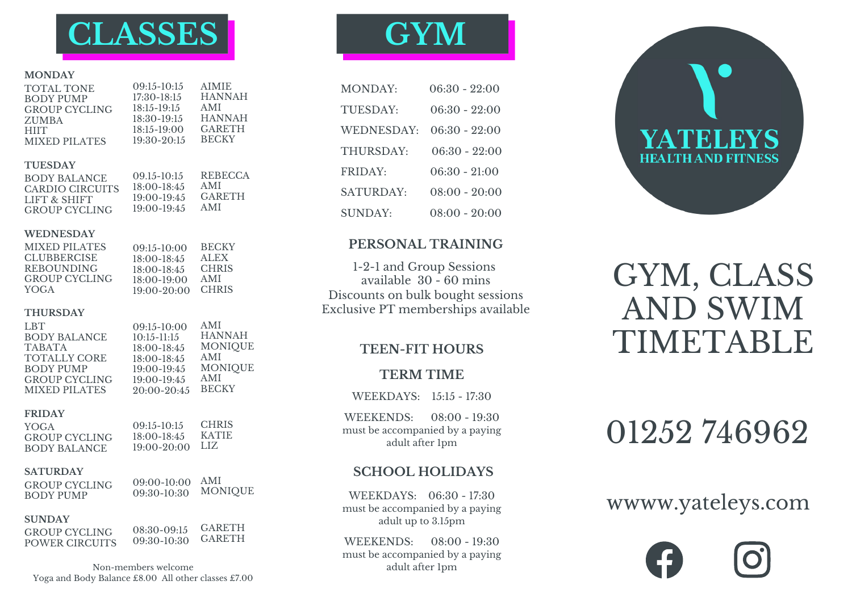

#### **MONDAY**

| <b>TOTAL TONE</b><br><b>BODY PUMP</b><br><b>GROUP CYCLING</b><br><b>ZUMBA</b><br><b>HIIT</b><br><b>MIXED PILATES</b> | $09:15-10:15$<br>$17:30-18:15$<br>$18:15 - 19:15$<br>$18:30-19:15$<br>$18:15 - 19:00$<br>19:30-20:15 | <b>AIMIE</b><br><b>HANNAH</b><br><b>AMI</b><br><b>HANNAH</b><br><b>GARETH</b><br><b>BECKY</b> |
|----------------------------------------------------------------------------------------------------------------------|------------------------------------------------------------------------------------------------------|-----------------------------------------------------------------------------------------------|
| <b>TUESDAY</b><br><b>BODY BALANCE</b><br><b>CARDIO CIRCUITS</b><br>LIFT & SHIFT<br><b>GROUP CYCLING</b>              | $09.15 - 10:15$<br>$18:00-18:45$<br>$19:00 - 19:45$<br>$19:00 - 19:45$                               | <b>REBECCA</b><br>AMI<br><b>GARETH</b><br>AMI                                                 |
| <b>WEDNESDAY</b><br><b>MIXED PILATES</b><br><b>CLUBBERCISE</b><br><b>REBOUNDING</b><br><b>GROUP CYCLING</b><br>YOGA  | $09:15-10:00$<br>$18:00-18:45$<br>$18:00-18:45$<br>$18:00-19:00$<br>$19:00 - 20:00$                  | <b>BECKY</b><br>ALEX <sup>1</sup><br><b>CHRIS</b><br>AMI<br><b>CHRIS</b>                      |
| <b>THURSDAY</b><br><b>LBT</b><br><b>BODY BALANCE</b>                                                                 | $09:15-10:00$<br>$10.15 - 11.15$                                                                     | AMI<br>HANNAH                                                                                 |

| 1.B.I                | $09:15-10:00$   | AIVII          |
|----------------------|-----------------|----------------|
| <b>BODY BALANCE</b>  | $10:15-11:15$   | <b>HANNAH</b>  |
| <b>TABATA</b>        | $18:00-18:45$   | <b>MONIQUE</b> |
| <b>TOTALLY CORE</b>  | $18:00-18:45$   | AMI            |
| BODY PUMP            | $19:00-19:45$   | <b>MONIQUE</b> |
| <b>GROUP CYCLING</b> | $19:00-19:45$   | AMI            |
| MIXED PILATES        | $20:00 - 20:45$ | <b>BECKY</b>   |
|                      |                 |                |

#### **FRIDAY**

YOGA GROUP CYCLING BODY BALANCE

**CHRIS** KATIE LIZ 19:00-20:00 09:15-10:15 18:00-18:45

#### **SATURDAY**

GROUP CYCLING BODY PUMP

09:00-10:00 AMI MONIQUE 09:30-10:30

#### **SUNDAY**

GROUP CYCLING POWER CIRCUITS

GARETH GARETH 08:30-09:15 09:30-10:30

Non-members welcome Yoga and Body Balance £8.00 All other classes £7.00

# **GYM**

| MONDAY.    | $06:30 - 22:00$ |
|------------|-----------------|
| TUESDAY:   | 06:30 - 22:00   |
| WEDNESDAY: | $06:30 - 22:00$ |
| THURSDAY:  | $06:30 - 22:00$ |
| FRIDAY:    | $06:30 - 21:00$ |
| SATURDAY.  | $08:00 - 20:00$ |
| SUNDAY.    | $08:00 - 20:00$ |

### **PERSONAL TRAINING**

1-2-1 and Group Sessions available 30 - 60 mins Discounts on bulk bought sessions Exclusive PT memberships available

### **TEEN-FIT HOURS**

#### **TERM TIME**

WEEKDAYS: 15:15 - 17:30

WEEKENDS: 08:00 - 19:30 must be accompanied by a paying adult after 1pm

### **SCHOOL HOLIDAYS**

WEEKDAYS: 06:30 - 17:30 must be accompanied by a paying adult up to 3.15pm

WEEKENDS: 08:00 - 19:30 must be accompanied by a paying adult after 1pm



# GYM, CLASS AND SWIM TIMETABLE

# 01252 746962

## wwww.yateleys.com